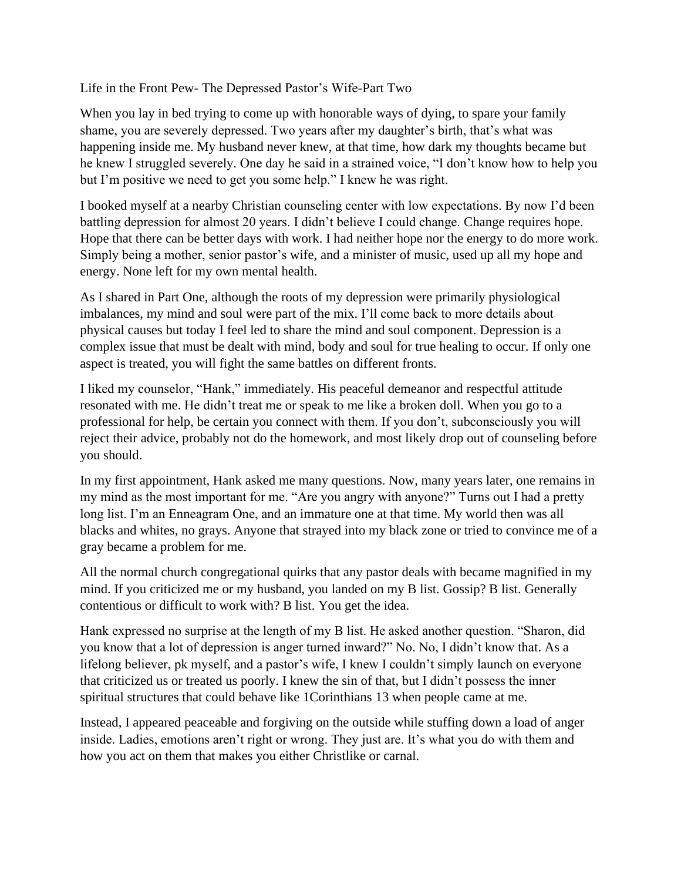Life in the Front Pew- The Depressed Pastor's Wife-Part Two

When you lay in bed trying to come up with honorable ways of dying, to spare your family shame, you are severely depressed. Two years after my daughter's birth, that's what was happening inside me. My husband never knew, at that time, how dark my thoughts became but he knew I struggled severely. One day he said in a strained voice, "I don't know how to help you but I'm positive we need to get you some help." I knew he was right.

I booked myself at a nearby Christian counseling center with low expectations. By now I'd been battling depression for almost 20 years. I didn't believe I could change. Change requires hope. Hope that there can be better days with work. I had neither hope nor the energy to do more work. Simply being a mother, senior pastor's wife, and a minister of music, used up all my hope and energy. None left for my own mental health.

As I shared in Part One, although the roots of my depression were primarily physiological imbalances, my mind and soul were part of the mix. I'll come back to more details about physical causes but today I feel led to share the mind and soul component. Depression is a complex issue that must be dealt with mind, body and soul for true healing to occur. If only one aspect is treated, you will fight the same battles on different fronts.

I liked my counselor, "Hank," immediately. His peaceful demeanor and respectful attitude resonated with me. He didn't treat me or speak to me like a broken doll. When you go to a professional for help, be certain you connect with them. If you don't, subconsciously you will reject their advice, probably not do the homework, and most likely drop out of counseling before you should.

In my first appointment, Hank asked me many questions. Now, many years later, one remains in my mind as the most important for me. "Are you angry with anyone?" Turns out I had a pretty long list. I'm an Enneagram One, and an immature one at that time. My world then was all blacks and whites, no grays. Anyone that strayed into my black zone or tried to convince me of a gray became a problem for me.

All the normal church congregational quirks that any pastor deals with became magnified in my mind. If you criticized me or my husband, you landed on my B list. Gossip? B list. Generally contentious or difficult to work with? B list. You get the idea.

Hank expressed no surprise at the length of my B list. He asked another question. "Sharon, did you know that a lot of depression is anger turned inward?" No. No, I didn't know that. As a lifelong believer, pk myself, and a pastor's wife, I knew I couldn't simply launch on everyone that criticized us or treated us poorly. I knew the sin of that, but I didn't possess the inner spiritual structures that could behave like 1Corinthians 13 when people came at me.

Instead, I appeared peaceable and forgiving on the outside while stuffing down a load of anger inside. Ladies, emotions aren't right or wrong. They just are. It's what you do with them and how you act on them that makes you either Christlike or carnal.